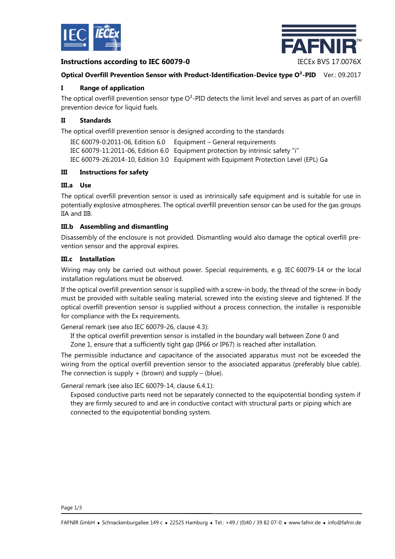

# **Instructions according to IEC 60079-0** IECEx BVS 17.0076X



### **Optical Overfill Prevention Sensor with Product-Identification-Device type O²-PID** Ver.: 09.2017

# **I Range of application**

The optical overfill prevention sensor type  $O^2$ -PID detects the limit level and serves as part of an overfill prevention device for liquid fuels.

### **II Standards**

The optical overfill prevention sensor is designed according to the standards

IEC 60079-0:2011-06, Edition 6.0 Equipment – General requirements IEC 60079-11:2011-06, Edition 6.0 Equipment protection by intrinsic safety "i" IEC 60079-26:2014-10, Edition 3.0 Equipment with Equipment Protection Level (EPL) Ga

#### **III Instructions for safety**

# **III.a Use**

The optical overfill prevention sensor is used as intrinsically safe equipment and is suitable for use in potentially explosive atmospheres. The optical overfill prevention sensor can be used for the gas groups IIA and IIB.

#### **III.b Assembling and dismantling**

Disassembly of the enclosure is not provided. Dismantling would also damage the optical overfill prevention sensor and the approval expires.

#### **III.c Installation**

Wiring may only be carried out without power. Special requirements, e. g. IEC 60079-14 or the local installation regulations must be observed.

If the optical overfill prevention sensor is supplied with a screw-in body, the thread of the screw-in body must be provided with suitable sealing material, screwed into the existing sleeve and tightened. If the optical overfill prevention sensor is supplied without a process connection, the installer is responsible for compliance with the Ex requirements.

General remark (see also IEC 60079-26, clause 4.3):

If the optical overfill prevention sensor is installed in the boundary wall between Zone 0 and

Zone 1, ensure that a sufficiently tight gap (IP66 or IP67) is reached after installation.

The permissible inductance and capacitance of the associated apparatus must not be exceeded the wiring from the optical overfill prevention sensor to the associated apparatus (preferably blue cable). The connection is supply  $+$  (brown) and supply  $-$  (blue).

General remark (see also IEC 60079-14, clause 6.4.1):

Exposed conductive parts need not be separately connected to the equipotential bonding system if they are firmly secured to and are in conductive contact with structural parts or piping which are connected to the equipotential bonding system.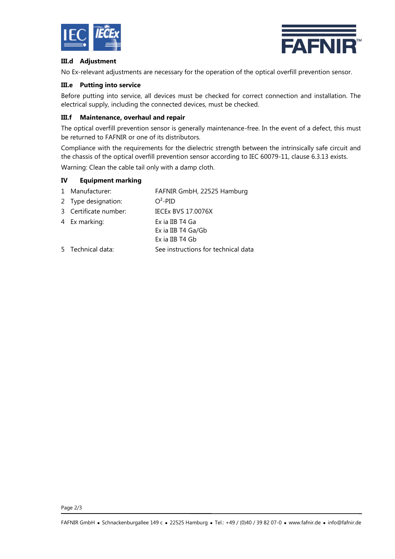



# **III.d Adjustment**

No Ex-relevant adjustments are necessary for the operation of the optical overfill prevention sensor.

# **III.e Putting into service**

Before putting into service, all devices must be checked for correct connection and installation. The electrical supply, including the connected devices, must be checked.

# **III.f Maintenance, overhaul and repair**

The optical overfill prevention sensor is generally maintenance-free. In the event of a defect, this must be returned to FAFNIR or one of its distributors.

Compliance with the requirements for the dielectric strength between the intrinsically safe circuit and the chassis of the optical overfill prevention sensor according to IEC 60079-11, clause 6.3.13 exists. Warning: Clean the cable tail only with a damp cloth.

### **IV Equipment marking**

| 1 Manufacturer:       | FAFNIR GmbH, 22525 Hamburg          |
|-----------------------|-------------------------------------|
| 2 Type designation:   | $O^2$ -PID                          |
| 3 Certificate number: | <b>IECEX BVS 17.0076X</b>           |
| 4 Ex marking:         | Ex ia IIB T4 Ga                     |
|                       | Ex ia IIB T4 Ga/Gb                  |
|                       | Ex ia IIB T4 Gb                     |
| 5 Technical data:     | See instructions for technical data |

Page 2/3